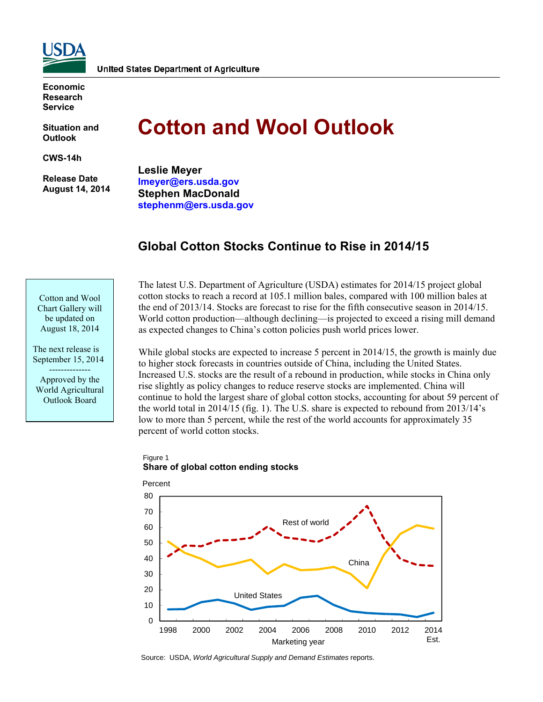

**Economic Research Service** 

**Situation and Outlook** 

**CWS-14h** 

 **Release Date August 14, 2014** 

# **Cotton and Wool Outlook**

**Leslie Meyer lmeyer@ers.usda.gov Stephen MacDonald stephenm@ers.usda.gov** 

# **Global Cotton Stocks Continue to Rise in 2014/15**

Cotton and Wool Chart Gallery will be updated on August 18, 2014

The next release is September 15, 2014 -------------- Approved by the World Agricultural

Outlook Board

The latest U.S. Department of Agriculture (USDA) estimates for 2014/15 project global cotton stocks to reach a record at 105.1 million bales, compared with 100 million bales at the end of 2013/14. Stocks are forecast to rise for the fifth consecutive season in 2014/15. World cotton production—although declining—is projected to exceed a rising mill demand as expected changes to China's cotton policies push world prices lower.

While global stocks are expected to increase 5 percent in 2014/15, the growth is mainly due to higher stock forecasts in countries outside of China, including the United States. Increased U.S. stocks are the result of a rebound in production, while stocks in China only rise slightly as policy changes to reduce reserve stocks are implemented. China will continue to hold the largest share of global cotton stocks, accounting for about 59 percent of the world total in 2014/15 (fig. 1). The U.S. share is expected to rebound from 2013/14's low to more than 5 percent, while the rest of the world accounts for approximately 35 percent of world cotton stocks.

#### Figure 1 **Share of global cotton ending stocks**



Source: USDA, *World Agricultural Supply and Demand Estimates* reports.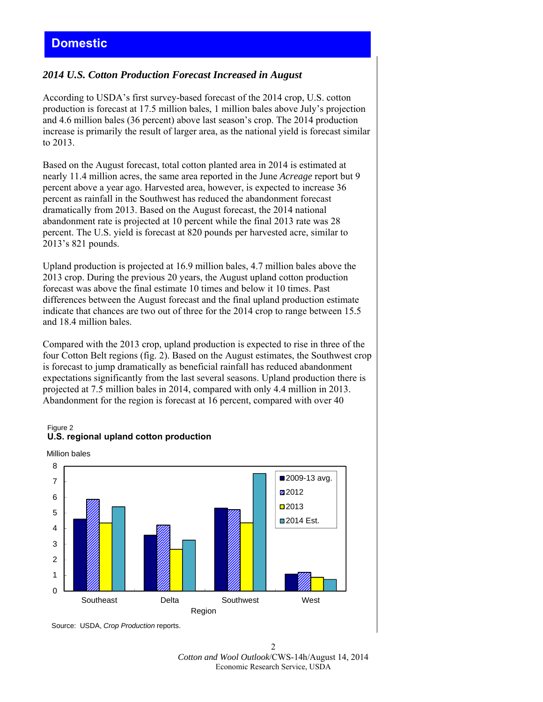# *2014 U.S. Cotton Production Forecast Increased in August*

According to USDA's first survey-based forecast of the 2014 crop, U.S. cotton production is forecast at 17.5 million bales, 1 million bales above July's projection and 4.6 million bales (36 percent) above last season's crop. The 2014 production increase is primarily the result of larger area, as the national yield is forecast similar to 2013.

Based on the August forecast, total cotton planted area in 2014 is estimated at nearly 11.4 million acres, the same area reported in the June *Acreage* report but 9 percent above a year ago. Harvested area, however, is expected to increase 36 percent as rainfall in the Southwest has reduced the abandonment forecast dramatically from 2013. Based on the August forecast, the 2014 national abandonment rate is projected at 10 percent while the final 2013 rate was 28 percent. The U.S. yield is forecast at 820 pounds per harvested acre, similar to 2013's 821 pounds.

Upland production is projected at 16.9 million bales, 4.7 million bales above the 2013 crop. During the previous 20 years, the August upland cotton production forecast was above the final estimate 10 times and below it 10 times. Past differences between the August forecast and the final upland production estimate indicate that chances are two out of three for the 2014 crop to range between 15.5 and 18.4 million bales.

Compared with the 2013 crop, upland production is expected to rise in three of the four Cotton Belt regions (fig. 2). Based on the August estimates, the Southwest crop is forecast to jump dramatically as beneficial rainfall has reduced abandonment expectations significantly from the last several seasons. Upland production there is projected at 7.5 million bales in 2014, compared with only 4.4 million in 2013. Abandonment for the region is forecast at 16 percent, compared with over 40

#### Figure 2 **U.S. regional upland cotton production**

Million bales



Source: USDA, *Crop Production* reports.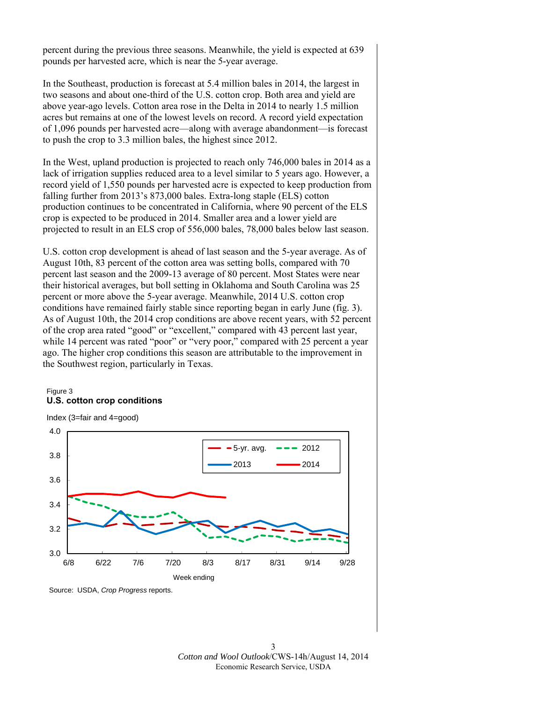percent during the previous three seasons. Meanwhile, the yield is expected at 639 pounds per harvested acre, which is near the 5-year average.

In the Southeast, production is forecast at 5.4 million bales in 2014, the largest in two seasons and about one-third of the U.S. cotton crop. Both area and yield are above year-ago levels. Cotton area rose in the Delta in 2014 to nearly 1.5 million acres but remains at one of the lowest levels on record. A record yield expectation of 1,096 pounds per harvested acre—along with average abandonment—is forecast to push the crop to 3.3 million bales, the highest since 2012.

In the West, upland production is projected to reach only 746,000 bales in 2014 as a lack of irrigation supplies reduced area to a level similar to 5 years ago. However, a record yield of 1,550 pounds per harvested acre is expected to keep production from falling further from 2013's 873,000 bales. Extra-long staple (ELS) cotton production continues to be concentrated in California, where 90 percent of the ELS crop is expected to be produced in 2014. Smaller area and a lower yield are projected to result in an ELS crop of 556,000 bales, 78,000 bales below last season.

U.S. cotton crop development is ahead of last season and the 5-year average. As of August 10th, 83 percent of the cotton area was setting bolls, compared with 70 percent last season and the 2009-13 average of 80 percent. Most States were near their historical averages, but boll setting in Oklahoma and South Carolina was 25 percent or more above the 5-year average. Meanwhile, 2014 U.S. cotton crop conditions have remained fairly stable since reporting began in early June (fig. 3). As of August 10th, the 2014 crop conditions are above recent years, with 52 percent of the crop area rated "good" or "excellent," compared with 43 percent last year, while 14 percent was rated "poor" or "very poor," compared with 25 percent a year ago. The higher crop conditions this season are attributable to the improvement in the Southwest region, particularly in Texas.

#### Figure 3 **U.S. cotton crop conditions**



Source: USDA, *Crop Progress* reports.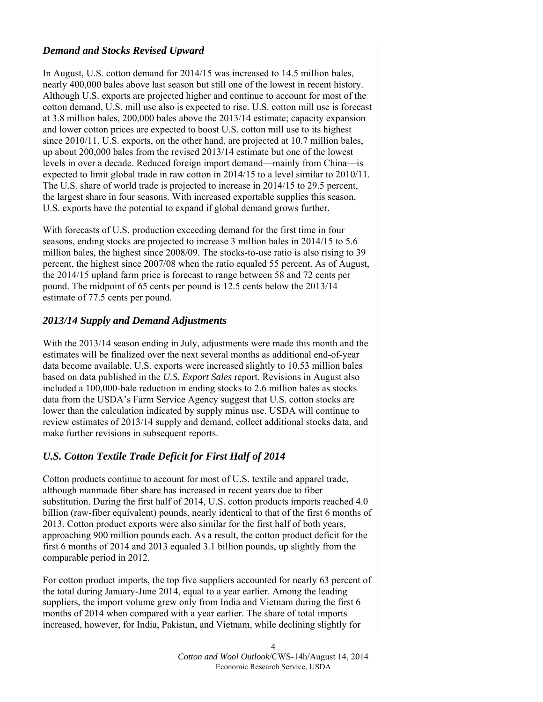# *Demand and Stocks Revised Upward*

In August, U.S. cotton demand for 2014/15 was increased to 14.5 million bales, nearly 400,000 bales above last season but still one of the lowest in recent history. Although U.S. exports are projected higher and continue to account for most of the cotton demand, U.S. mill use also is expected to rise. U.S. cotton mill use is forecast at 3.8 million bales, 200,000 bales above the 2013/14 estimate; capacity expansion and lower cotton prices are expected to boost U.S. cotton mill use to its highest since 2010/11. U.S. exports, on the other hand, are projected at 10.7 million bales, up about 200,000 bales from the revised 2013/14 estimate but one of the lowest levels in over a decade. Reduced foreign import demand—mainly from China—is expected to limit global trade in raw cotton in 2014/15 to a level similar to 2010/11. The U.S. share of world trade is projected to increase in 2014/15 to 29.5 percent, the largest share in four seasons. With increased exportable supplies this season, U.S. exports have the potential to expand if global demand grows further.

With forecasts of U.S. production exceeding demand for the first time in four seasons, ending stocks are projected to increase 3 million bales in 2014/15 to 5.6 million bales, the highest since 2008/09. The stocks-to-use ratio is also rising to 39 percent, the highest since 2007/08 when the ratio equaled 55 percent. As of August, the 2014/15 upland farm price is forecast to range between 58 and 72 cents per pound. The midpoint of 65 cents per pound is 12.5 cents below the 2013/14 estimate of 77.5 cents per pound.

## *2013/14 Supply and Demand Adjustments*

With the 2013/14 season ending in July, adjustments were made this month and the estimates will be finalized over the next several months as additional end-of-year data become available. U.S. exports were increased slightly to 10.53 million bales based on data published in the *U.S. Export Sales* report. Revisions in August also included a 100,000-bale reduction in ending stocks to 2.6 million bales as stocks data from the USDA's Farm Service Agency suggest that U.S. cotton stocks are lower than the calculation indicated by supply minus use. USDA will continue to review estimates of 2013/14 supply and demand, collect additional stocks data, and make further revisions in subsequent reports.

# *U.S. Cotton Textile Trade Deficit for First Half of 2014*

Cotton products continue to account for most of U.S. textile and apparel trade, although manmade fiber share has increased in recent years due to fiber substitution. During the first half of 2014, U.S. cotton products imports reached 4.0 billion (raw-fiber equivalent) pounds, nearly identical to that of the first 6 months of 2013. Cotton product exports were also similar for the first half of both years, approaching 900 million pounds each. As a result, the cotton product deficit for the first 6 months of 2014 and 2013 equaled 3.1 billion pounds, up slightly from the comparable period in 2012.

For cotton product imports, the top five suppliers accounted for nearly 63 percent of the total during January-June 2014, equal to a year earlier. Among the leading suppliers, the import volume grew only from India and Vietnam during the first 6 months of 2014 when compared with a year earlier. The share of total imports increased, however, for India, Pakistan, and Vietnam, while declining slightly for

> 4 *Cotton and Wool Outlook*/CWS-14h/August 14, 2014 Economic Research Service, USDA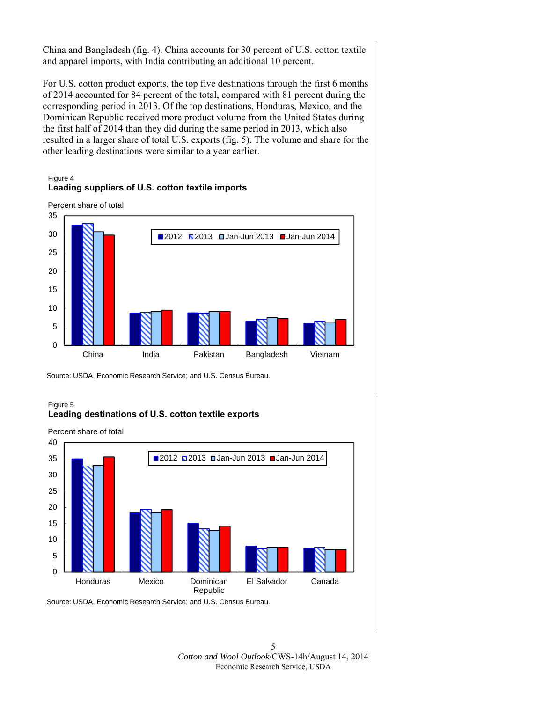China and Bangladesh (fig. 4). China accounts for 30 percent of U.S. cotton textile and apparel imports, with India contributing an additional 10 percent.

For U.S. cotton product exports, the top five destinations through the first 6 months of 2014 accounted for 84 percent of the total, compared with 81 percent during the corresponding period in 2013. Of the top destinations, Honduras, Mexico, and the Dominican Republic received more product volume from the United States during the first half of 2014 than they did during the same period in 2013, which also resulted in a larger share of total U.S. exports (fig. 5). The volume and share for the other leading destinations were similar to a year earlier.

#### Figure 4 **Leading suppliers of U.S. cotton textile imports**

Percent share of total



Source: USDA, Economic Research Service; and U.S. Census Bureau.

#### Figure 5 **Leading destinations of U.S. cotton textile exports**



Source: USDA, Economic Research Service; and U.S. Census Bureau.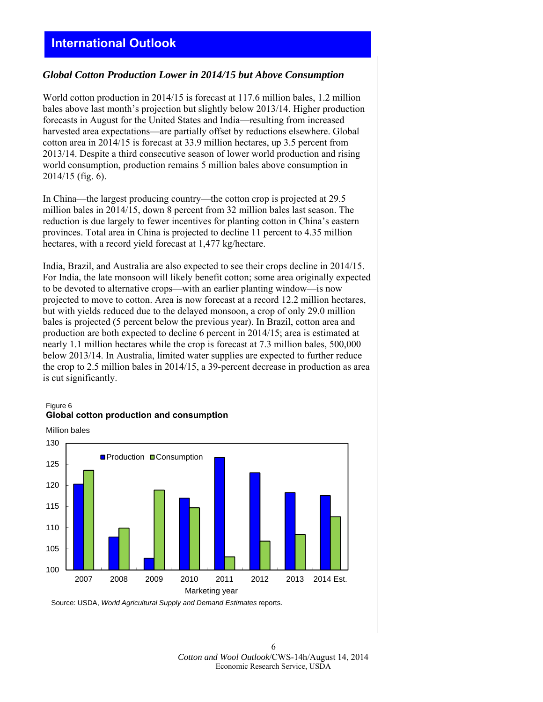# **International Outlook**

### *Global Cotton Production Lower in 2014/15 but Above Consumption*

World cotton production in 2014/15 is forecast at 117.6 million bales, 1.2 million bales above last month's projection but slightly below 2013/14. Higher production forecasts in August for the United States and India—resulting from increased harvested area expectations—are partially offset by reductions elsewhere. Global cotton area in 2014/15 is forecast at 33.9 million hectares, up 3.5 percent from 2013/14. Despite a third consecutive season of lower world production and rising world consumption, production remains 5 million bales above consumption in 2014/15 (fig. 6).

In China—the largest producing country—the cotton crop is projected at 29.5 million bales in 2014/15, down 8 percent from 32 million bales last season. The reduction is due largely to fewer incentives for planting cotton in China's eastern provinces. Total area in China is projected to decline 11 percent to 4.35 million hectares, with a record yield forecast at 1,477 kg/hectare.

India, Brazil, and Australia are also expected to see their crops decline in 2014/15. For India, the late monsoon will likely benefit cotton; some area originally expected to be devoted to alternative crops—with an earlier planting window—is now projected to move to cotton. Area is now forecast at a record 12.2 million hectares, but with yields reduced due to the delayed monsoon, a crop of only 29.0 million bales is projected (5 percent below the previous year). In Brazil, cotton area and production are both expected to decline 6 percent in 2014/15; area is estimated at nearly 1.1 million hectares while the crop is forecast at 7.3 million bales, 500,000 below 2013/14. In Australia, limited water supplies are expected to further reduce the crop to 2.5 million bales in 2014/15, a 39-percent decrease in production as area is cut significantly.

#### Figure 6 **Global cotton production and consumption**

Million bales



Source: USDA, *World Agricultural Supply and Demand Estimates* reports.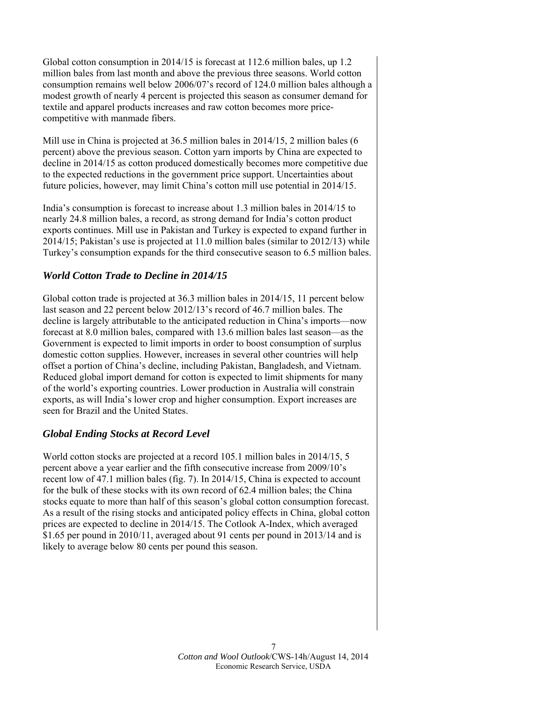Global cotton consumption in 2014/15 is forecast at 112.6 million bales, up 1.2 million bales from last month and above the previous three seasons. World cotton consumption remains well below 2006/07's record of 124.0 million bales although a modest growth of nearly 4 percent is projected this season as consumer demand for textile and apparel products increases and raw cotton becomes more pricecompetitive with manmade fibers.

Mill use in China is projected at 36.5 million bales in 2014/15, 2 million bales (6 percent) above the previous season. Cotton yarn imports by China are expected to decline in 2014/15 as cotton produced domestically becomes more competitive due to the expected reductions in the government price support. Uncertainties about future policies, however, may limit China's cotton mill use potential in 2014/15.

India's consumption is forecast to increase about 1.3 million bales in 2014/15 to nearly 24.8 million bales, a record, as strong demand for India's cotton product exports continues. Mill use in Pakistan and Turkey is expected to expand further in 2014/15; Pakistan's use is projected at 11.0 million bales (similar to 2012/13) while Turkey's consumption expands for the third consecutive season to 6.5 million bales.

# *World Cotton Trade to Decline in 2014/15*

Global cotton trade is projected at 36.3 million bales in 2014/15, 11 percent below last season and 22 percent below 2012/13's record of 46.7 million bales. The decline is largely attributable to the anticipated reduction in China's imports—now forecast at 8.0 million bales, compared with 13.6 million bales last season—as the Government is expected to limit imports in order to boost consumption of surplus domestic cotton supplies. However, increases in several other countries will help offset a portion of China's decline, including Pakistan, Bangladesh, and Vietnam. Reduced global import demand for cotton is expected to limit shipments for many of the world's exporting countries. Lower production in Australia will constrain exports, as will India's lower crop and higher consumption. Export increases are seen for Brazil and the United States.

# *Global Ending Stocks at Record Level*

World cotton stocks are projected at a record 105.1 million bales in 2014/15, 5 percent above a year earlier and the fifth consecutive increase from 2009/10's recent low of 47.1 million bales (fig. 7). In 2014/15, China is expected to account for the bulk of these stocks with its own record of 62.4 million bales; the China stocks equate to more than half of this season's global cotton consumption forecast. As a result of the rising stocks and anticipated policy effects in China, global cotton prices are expected to decline in 2014/15. The Cotlook A-Index, which averaged \$1.65 per pound in 2010/11, averaged about 91 cents per pound in 2013/14 and is likely to average below 80 cents per pound this season.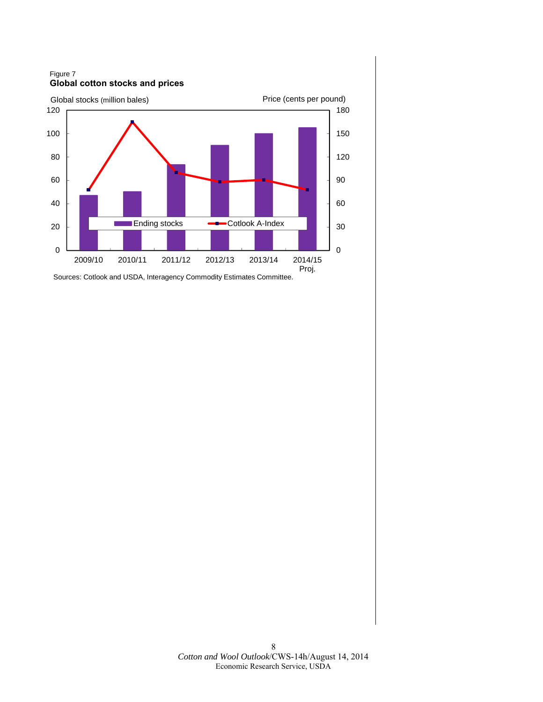Figure 7 **Global cotton stocks and prices**



Sources: Cotlook and USDA, Interagency Commodity Estimates Committee.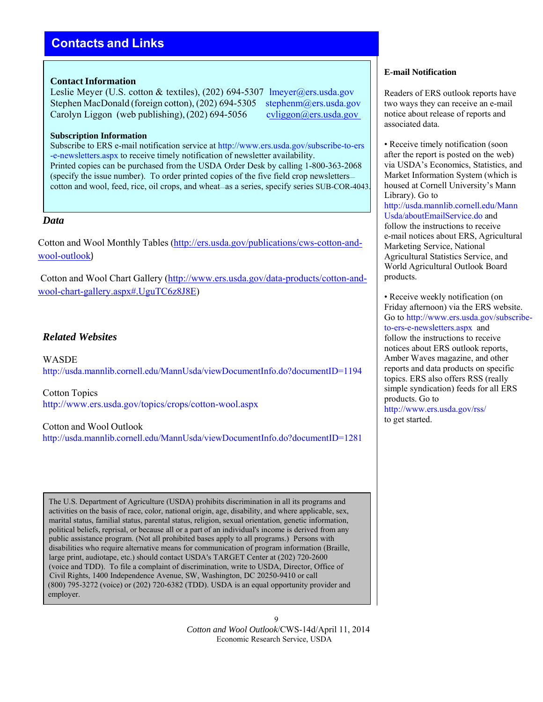# **Contacts and Links**

#### **Contact Information**

Leslie Meyer (U.S. cotton & textiles), (202) 694-5307 lmeyer@ers.usda.gov Stephen MacDonald (foreign cotton), (202) 694-5305 stephenm@ers.usda.gov Carolyn Liggon (web publishing), (202) 694-5056 cvliggon@ers.usda.gov

#### **Subscription Information**

Subscribe to ERS e-mail notification service at http://www.ers.usda.gov/subscribe-to-ers -e-newsletters.aspx to receive timely notification of newsletter availability. Printed copies can be purchased from the USDA Order Desk by calling 1-800-363-2068 (specify the issue number). To order printed copies of the five field crop newsletters cotton and wool, feed, rice, oil crops, and wheat—as a series, specify series SUB-COR-4043.

#### *Data*

Cotton and Wool Monthly Tables (http://ers.usda.gov/publications/cws-cotton-andwool-outlook)

Cotton and Wool Chart Gallery (http://www.ers.usda.gov/data-products/cotton-andwool-chart-gallery.aspx#.UguTC6z8J8E)

# *Related Websites*

WASDE http://usda.mannlib.cornell.edu/MannUsda/viewDocumentInfo.do?documentID=1194

Cotton Topics http://www.ers.usda.gov/topics/crops/cotton-wool.aspx

#### Cotton and Wool Outlook

http://usda.mannlib.cornell.edu/MannUsda/viewDocumentInfo.do?documentID=1281

The U.S. Department of Agriculture (USDA) prohibits discrimination in all its programs and activities on the basis of race, color, national origin, age, disability, and where applicable, sex, marital status, familial status, parental status, religion, sexual orientation, genetic information, political beliefs, reprisal, or because all or a part of an individual's income is derived from any public assistance program. (Not all prohibited bases apply to all programs.) Persons with disabilities who require alternative means for communication of program information (Braille, large print, audiotape, etc.) should contact USDA's TARGET Center at (202) 720-2600 (voice and TDD). To file a complaint of discrimination, write to USDA, Director, Office of Civil Rights, 1400 Independence Avenue, SW, Washington, DC 20250-9410 or call (800) 795-3272 (voice) or (202) 720-6382 (TDD). USDA is an equal opportunity provider and employer.

> 9 *Cotton and Wool Outlook*/CWS-14d/April 11, 2014 Economic Research Service, USDA

#### **E-mail Notification**

Readers of ERS outlook reports have two ways they can receive an e-mail notice about release of reports and associated data.

• Receive timely notification (soon) after the report is posted on the web) via USDA's Economics, Statistics, and Market Information System (which is housed at Cornell University's Mann Library). Go to http://usda.mannlib.cornell.edu/Mann Usda/aboutEmailService.do and follow the instructions to receive e-mail notices about ERS, Agricultural Marketing Service, National Agricultural Statistics Service, and World Agricultural Outlook Board products.

• Receive weekly notification (on Friday afternoon) via the ERS website. Go to http://www.ers.usda.gov/subscribeto-ers-e-newsletters.aspx and follow the instructions to receive notices about ERS outlook reports, Amber Waves magazine, and other reports and data products on specific topics. ERS also offers RSS (really simple syndication) feeds for all ERS products. Go to http://www.ers.usda.gov/rss/ to get started.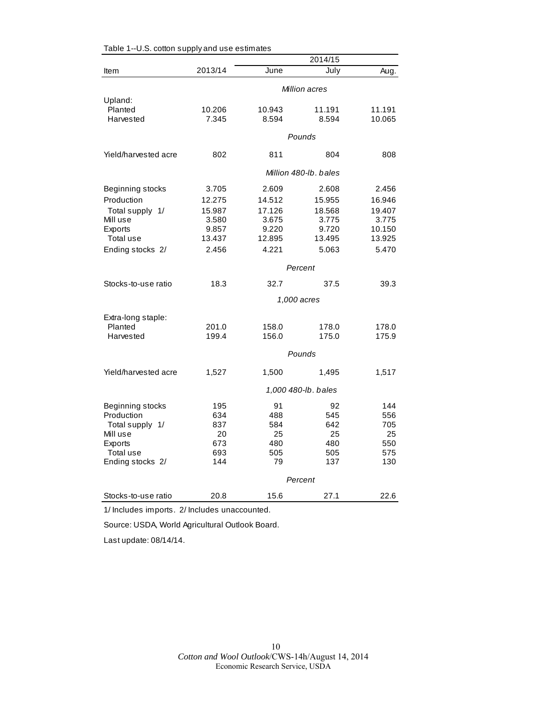|                      |               |        | 2014/15               |        |
|----------------------|---------------|--------|-----------------------|--------|
| Item                 | 2013/14       | June   | July                  | Aug.   |
|                      | Million acres |        |                       |        |
| Upland:              |               |        |                       |        |
| Planted              | 10.206        | 10.943 | 11.191                | 11.191 |
| Harvested            | 7.345         | 8.594  | 8.594                 | 10.065 |
|                      |               |        | Pounds                |        |
| Yield/harvested acre | 802           | 811    | 804                   | 808    |
|                      |               |        | Million 480-lb, bales |        |
| Beginning stocks     | 3.705         | 2.609  | 2.608                 | 2.456  |
| Production           | 12.275        | 14.512 | 15.955                | 16.946 |
| Total supply 1/      | 15.987        | 17.126 | 18.568                | 19.407 |
| Mill use             | 3.580         | 3.675  | 3.775                 | 3.775  |
| Exports              | 9.857         | 9.220  | 9.720                 | 10.150 |
| Total use            | 13.437        | 12.895 | 13.495                | 13.925 |
| Ending stocks 2/     | 2.456         | 4.221  | 5.063                 | 5.470  |
|                      |               |        | Percent               |        |
| Stocks-to-use ratio  | 18.3          | 32.7   | 37.5                  | 39.3   |
|                      |               |        | 1,000 acres           |        |
| Extra-long staple:   |               |        |                       |        |
| Planted              | 201.0         | 158.0  | 178.0                 | 178.0  |
| Harvested            | 199.4         | 156.0  | 175.0                 | 175.9  |
|                      |               |        | Pounds                |        |
| Yield/harvested acre | 1,527         | 1,500  | 1,495                 | 1,517  |
|                      |               |        | 1,000 480-lb. bales   |        |
| Beginning stocks     | 195           | 91     | 92                    | 144    |
| Production           | 634           | 488    | 545                   | 556    |
| Total supply 1/      | 837           | 584    | 642                   | 705    |
| Mill use             | 20            | 25     | 25                    | 25     |
| Exports              | 673           | 480    | 480                   | 550    |
| Total use            | 693           | 505    | 505                   | 575    |
| Ending stocks 2/     | 144           | 79     | 137                   | 130    |
|                      |               |        | Percent               |        |
| Stocks-to-use ratio  | 20.8          | 15.6   | 27.1                  | 22.6   |

Table 1--U.S. cotton supply and use estimates

1/ Includes imports. 2/ Includes unaccounted.

Source: USDA, World Agricultural Outlook Board.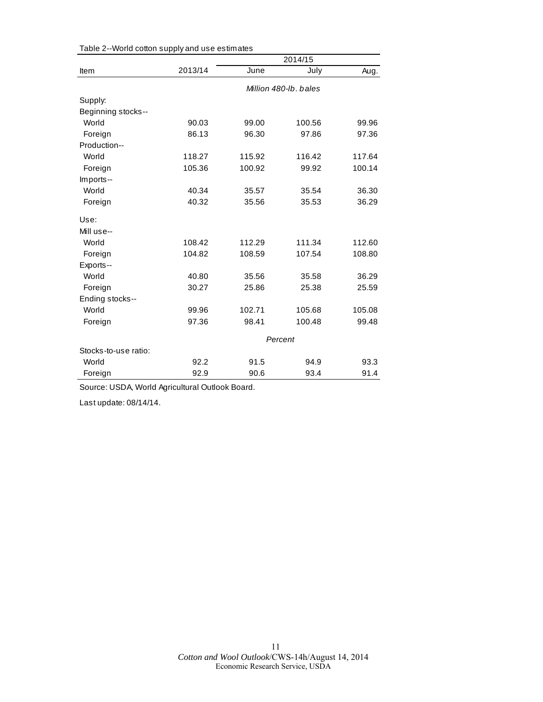|                      |         |        | 2014/15               |        |
|----------------------|---------|--------|-----------------------|--------|
| Item                 | 2013/14 | June   | July                  | Aug.   |
|                      |         |        | Million 480-lb, bales |        |
| Supply:              |         |        |                       |        |
| Beginning stocks--   |         |        |                       |        |
| World                | 90.03   | 99.00  | 100.56                | 99.96  |
| Foreign              | 86.13   | 96.30  | 97.86                 | 97.36  |
| Production--         |         |        |                       |        |
| World                | 118.27  | 115.92 | 116.42                | 117.64 |
| Foreign              | 105.36  | 100.92 | 99.92                 | 100.14 |
| Imports--            |         |        |                       |        |
| World                | 40.34   | 35.57  | 35.54                 | 36.30  |
| Foreign              | 40.32   | 35.56  | 35.53                 | 36.29  |
| Use:                 |         |        |                       |        |
| Mill use--           |         |        |                       |        |
| World                | 108.42  | 112.29 | 111.34                | 112.60 |
| Foreign              | 104.82  | 108.59 | 107.54                | 108.80 |
| Exports--            |         |        |                       |        |
| World                | 40.80   | 35.56  | 35.58                 | 36.29  |
| Foreign              | 30.27   | 25.86  | 25.38                 | 25.59  |
| Ending stocks--      |         |        |                       |        |
| World                | 99.96   | 102.71 | 105.68                | 105.08 |
| Foreign              | 97.36   | 98.41  | 100.48                | 99.48  |
|                      | Percent |        |                       |        |
| Stocks-to-use ratio: |         |        |                       |        |
| World                | 92.2    | 91.5   | 94.9                  | 93.3   |
| Foreign              | 92.9    | 90.6   | 93.4                  | 91.4   |

Table 2--World cotton supply and use estimates

Source: USDA, World Agricultural Outlook Board.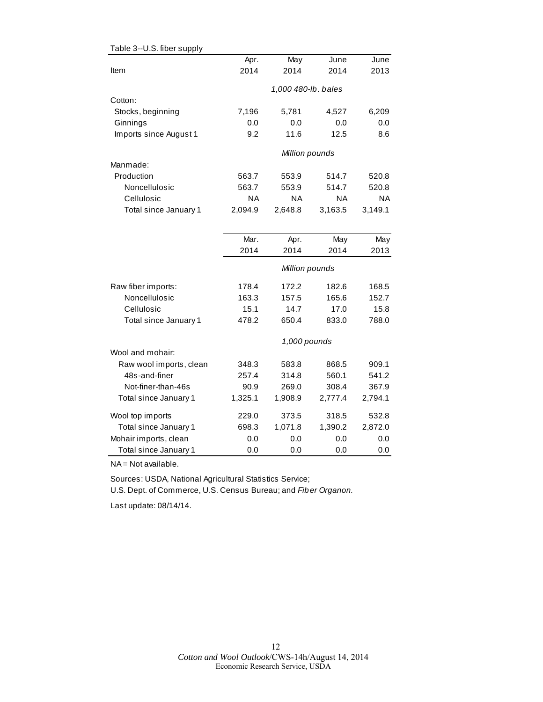| Table 3--U.S. fiber supply |         |                     |         |           |
|----------------------------|---------|---------------------|---------|-----------|
|                            | Apr.    | May                 | June    | June      |
| Item                       | 2014    | 2014                | 2014    | 2013      |
|                            |         | 1,000 480-lb. bales |         |           |
| Cotton:                    |         |                     |         |           |
| Stocks, beginning          | 7,196   | 5,781               | 4,527   | 6,209     |
| Ginnings                   | 0.0     | 0.0                 | 0.0     | 0.0       |
| Imports since August 1     | 9.2     | 11.6                | 12.5    | 8.6       |
|                            |         | Million pounds      |         |           |
| Manmade:                   |         |                     |         |           |
| Production                 | 563.7   | 553.9               | 514.7   | 520.8     |
| Noncellulosic              | 563.7   | 553.9               | 514.7   | 520.8     |
| Cellulosic                 | ΝA      | <b>NA</b>           | ΝA      | <b>NA</b> |
| Total since January 1      | 2,094.9 | 2,648.8             | 3,163.5 | 3,149.1   |
|                            |         |                     |         |           |
|                            | Mar.    | Apr.                | May     | May       |
|                            | 2014    | 2014                | 2014    | 2013      |
|                            |         | Million pounds      |         |           |
| Raw fiber imports:         | 178.4   | 172.2               | 182.6   | 168.5     |
| Noncellulosic              | 163.3   | 157.5               | 165.6   | 152.7     |
| Cellulosic                 | 15.1    | 14.7                | 17.0    | 15.8      |
| Total since January 1      | 478.2   | 650.4               | 833.0   | 788.0     |
|                            |         | 1,000 pounds        |         |           |
| Wool and mohair:           |         |                     |         |           |
| Raw wool imports, clean    | 348.3   | 583.8               | 868.5   | 909.1     |
| 48s-and-finer              | 257.4   | 314.8               | 560.1   | 541.2     |
| Not-finer-than-46s         | 90.9    | 269.0               | 308.4   | 367.9     |
| Total since January 1      | 1,325.1 | 1,908.9             | 2,777.4 | 2,794.1   |
| Wool top imports           | 229.0   | 373.5               | 318.5   | 532.8     |
| Total since January 1      | 698.3   | 1,071.8             | 1,390.2 | 2,872.0   |
| Mohair imports, clean      | 0.0     | 0.0                 | 0.0     | 0.0       |
| Total since January 1      | 0.0     | 0.0                 | 0.0     | 0.0       |

NA = Not available.

Sources: USDA, National Agricultural Statistics Service;

U.S. Dept. of Commerce, U.S. Census Bureau; and *Fiber Organon.*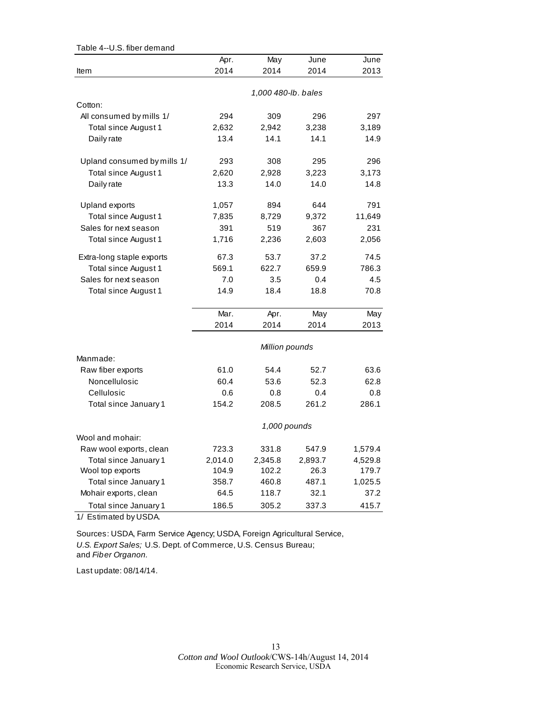| Table 4--U.S. fiber demand  |         |                     |         |         |
|-----------------------------|---------|---------------------|---------|---------|
|                             | Apr.    | May                 | June    | June    |
| ltem                        | 2014    | 2014                | 2014    | 2013    |
|                             |         |                     |         |         |
|                             |         | 1,000 480-lb. bales |         |         |
| Cotton:                     |         |                     |         |         |
| All consumed by mills 1/    | 294     | 309                 | 296     | 297     |
| Total since August 1        | 2,632   | 2,942               | 3,238   | 3,189   |
| Daily rate                  | 13.4    | 14.1                | 14.1    | 14.9    |
| Upland consumed by mills 1/ | 293     | 308                 | 295     | 296     |
| Total since August 1        | 2,620   | 2,928               | 3,223   | 3,173   |
| Daily rate                  | 13.3    | 14.0                | 14.0    | 14.8    |
|                             |         |                     |         |         |
| Upland exports              | 1,057   | 894                 | 644     | 791     |
| Total since August 1        | 7,835   | 8,729               | 9,372   | 11,649  |
| Sales for next season       | 391     | 519                 | 367     | 231     |
| Total since August 1        | 1,716   | 2,236               | 2,603   | 2,056   |
| Extra-long staple exports   | 67.3    | 53.7                | 37.2    | 74.5    |
| Total since August 1        | 569.1   | 622.7               | 659.9   | 786.3   |
| Sales for next season       | 7.0     | 3.5                 | 0.4     | 4.5     |
| Total since August 1        | 14.9    | 18.4                | 18.8    | 70.8    |
|                             | Mar.    | Apr.                | May     | May     |
|                             | 2014    | 2014                | 2014    | 2013    |
|                             |         | Million pounds      |         |         |
| Manmade:                    |         |                     |         |         |
| Raw fiber exports           | 61.0    | 54.4                | 52.7    | 63.6    |
| Noncellulosic               | 60.4    | 53.6                | 52.3    | 62.8    |
| Cellulosic                  | 0.6     | 0.8                 | 0.4     | 0.8     |
| Total since January 1       | 154.2   | 208.5               | 261.2   | 286.1   |
|                             |         | 1,000 pounds        |         |         |
| Wool and mohair:            |         |                     |         |         |
| Raw wool exports, clean     | 723.3   | 331.8               | 547.9   | 1,579.4 |
| Total since January 1       | 2,014.0 | 2,345.8             | 2,893.7 | 4,529.8 |
| Wool top exports            | 104.9   | 102.2               | 26.3    | 179.7   |
| Total since January 1       | 358.7   | 460.8               | 487.1   | 1,025.5 |
| Mohair exports, clean       | 64.5    | 118.7               | 32.1    | 37.2    |
| Total since January 1       | 186.5   | 305.2               | 337.3   | 415.7   |

1/ Estimated by USDA.

Sources: USDA, Farm Service Agency; USDA, Foreign Agricultural Service, *U.S. Export Sales;* U.S. Dept. of Commerce, U.S. Census Bureau; and *Fiber Organon.*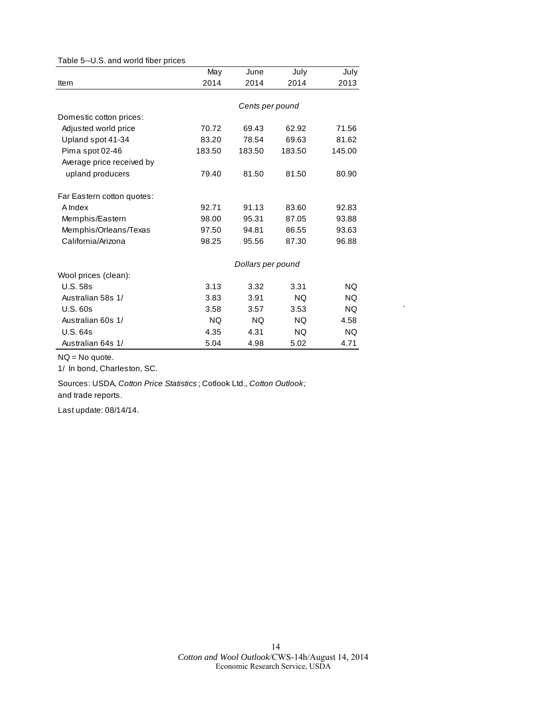#### Table 5--U.S. and world fiber prices

|                            | May       | June              | July      | July      |
|----------------------------|-----------|-------------------|-----------|-----------|
| <b>Item</b>                | 2014      | 2014              | 2014      | 2013      |
|                            |           |                   |           |           |
|                            |           | Cents per pound   |           |           |
| Domestic cotton prices:    |           |                   |           |           |
| Adjusted world price       | 70.72     | 69.43             | 62.92     | 71.56     |
| Upland spot 41-34          | 83.20     | 78.54             | 69.63     | 81.62     |
| Pima spot 02-46            | 183.50    | 183.50            | 183.50    | 145.00    |
| Average price received by  |           |                   |           |           |
| upland producers           | 79.40     | 81.50             | 81.50     | 80.90     |
| Far Eastern cotton quotes: |           |                   |           |           |
| A Index                    | 92.71     | 91.13             | 83.60     | 92.83     |
| Memphis/Eastern            | 98.00     | 95.31             | 87.05     | 93.88     |
| Memphis/Orleans/Texas      | 97.50     | 94.81             | 86.55     | 93.63     |
| California/Arizona         | 98.25     | 95.56             | 87.30     | 96.88     |
|                            |           | Dollars per pound |           |           |
| Wool prices (clean):       |           |                   |           |           |
| <b>U.S. 58s</b>            | 3.13      | 3.32              | 3.31      | <b>NQ</b> |
| Australian 58s 1/          | 3.83      | 3.91              | <b>NQ</b> | <b>NQ</b> |
| <b>U.S. 60s</b>            | 3.58      | 3.57              | 3.53      | <b>NQ</b> |
| Australian 60s 1/          | <b>NQ</b> | <b>NQ</b>         | NQ.       | 4.58      |
| <b>U.S. 64s</b>            | 4.35      | 4.31              | NQ.       | <b>NQ</b> |
| Australian 64s 1/          | 5.04      | 4.98              | 5.02      | 4.71      |

NQ = No quote.

1/ In bond, Charleston, SC.

Sources: USDA, *Cotton Price Statistics* ; Cotlook Ltd., *Cotton Outlook;*  and trade reports.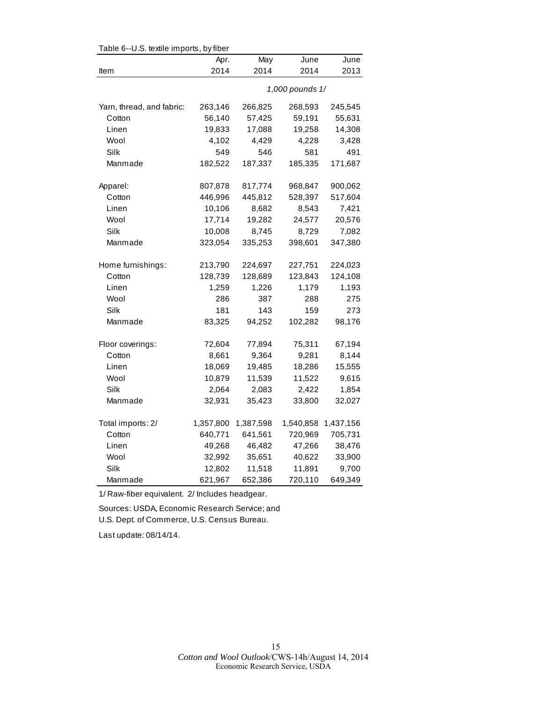| Table 6--U.S. textile imports, by fiber |           |           |                 |           |  |  |
|-----------------------------------------|-----------|-----------|-----------------|-----------|--|--|
|                                         | Apr.      | May       | June            | June      |  |  |
| Item                                    | 2014      | 2014      | 2014            | 2013      |  |  |
|                                         |           |           | 1,000 pounds 1/ |           |  |  |
| Yarn, thread, and fabric:               | 263,146   | 266,825   | 268,593         | 245,545   |  |  |
| Cotton                                  | 56,140    | 57,425    | 59,191          | 55,631    |  |  |
| Linen                                   | 19,833    | 17,088    | 19,258          | 14,308    |  |  |
| Wool                                    | 4,102     | 4,429     | 4,228           | 3,428     |  |  |
| Silk                                    | 549       | 546       | 581             | 491       |  |  |
| Manmade                                 | 182,522   | 187,337   | 185,335         | 171,687   |  |  |
| Apparel:                                | 807,878   | 817,774   | 968,847         | 900,062   |  |  |
| Cotton                                  | 446,996   | 445,812   | 528,397         | 517,604   |  |  |
| Linen                                   | 10,106    | 8,682     | 8,543           | 7,421     |  |  |
| Wool                                    | 17,714    | 19,282    | 24,577          | 20,576    |  |  |
| Silk                                    | 10,008    | 8,745     | 8,729           | 7,082     |  |  |
| Manmade                                 | 323,054   | 335,253   | 398,601         | 347,380   |  |  |
| Home furnishings:                       | 213,790   | 224,697   | 227,751         | 224,023   |  |  |
| Cotton                                  | 128,739   | 128,689   | 123,843         | 124,108   |  |  |
| Linen                                   | 1,259     | 1,226     | 1,179           | 1,193     |  |  |
| Wool                                    | 286       | 387       | 288             | 275       |  |  |
| Silk                                    | 181       | 143       | 159             | 273       |  |  |
| Manmade                                 | 83,325    | 94,252    | 102,282         | 98,176    |  |  |
| Floor coverings:                        | 72,604    | 77,894    | 75,311          | 67,194    |  |  |
| Cotton                                  | 8,661     | 9,364     | 9,281           | 8,144     |  |  |
| Linen                                   | 18,069    | 19,485    | 18,286          | 15,555    |  |  |
| Wool                                    | 10,879    | 11,539    | 11,522          | 9,615     |  |  |
| Silk                                    | 2,064     | 2,083     | 2,422           | 1,854     |  |  |
| Manmade                                 | 32,931    | 35,423    | 33,800          | 32,027    |  |  |
| Total imports: 2/                       | 1,357,800 | 1,387,598 | 1,540,858       | 1,437,156 |  |  |
| Cotton                                  | 640,771   | 641,561   | 720,969         | 705,731   |  |  |
| Linen                                   | 49,268    | 46,482    | 47,266          | 38,476    |  |  |
| Wool                                    | 32,992    | 35,651    | 40,622          | 33,900    |  |  |
| Silk                                    | 12,802    | 11,518    | 11,891          | 9,700     |  |  |
| Manmade                                 | 621,967   | 652,386   | 720,110         | 649,349   |  |  |

 $Table C-ULC$  textile imports, by fib

1/ Raw-fiber equivalent. 2/ Includes headgear.

Sources: USDA, Economic Research Service; and U.S. Dept. of Commerce, U.S. Census Bureau.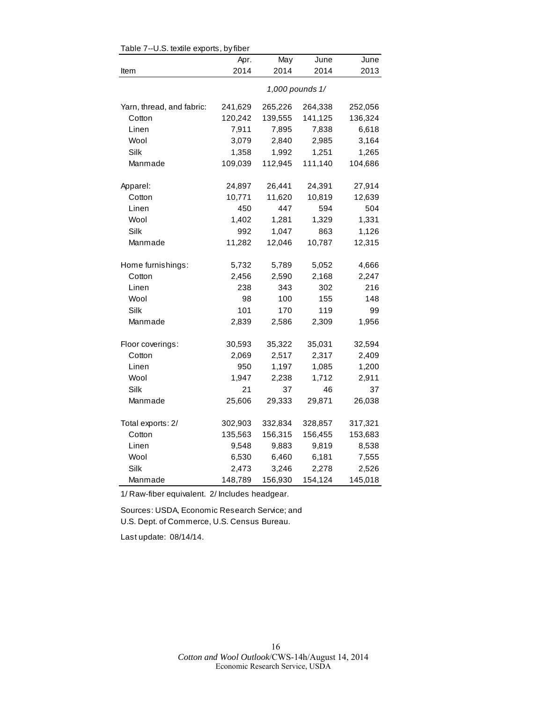| Table 7--0.5. textile exports, by fiber |                 |         |         |         |  |  |
|-----------------------------------------|-----------------|---------|---------|---------|--|--|
|                                         | Apr.            | May     | June    | June    |  |  |
| Item                                    | 2014            | 2014    | 2014    | 2013    |  |  |
|                                         | 1,000 pounds 1/ |         |         |         |  |  |
| Yarn, thread, and fabric:               | 241,629         | 265,226 | 264,338 | 252,056 |  |  |
| Cotton                                  | 120,242         | 139,555 | 141,125 | 136,324 |  |  |
| Linen                                   | 7,911           | 7,895   | 7,838   | 6,618   |  |  |
| Wool                                    | 3,079           | 2,840   | 2,985   | 3,164   |  |  |
| Silk                                    | 1,358           | 1,992   | 1,251   | 1,265   |  |  |
| Manmade                                 | 109,039         | 112,945 | 111,140 | 104,686 |  |  |
| Apparel:                                | 24,897          | 26,441  | 24,391  | 27,914  |  |  |
| Cotton                                  | 10,771          | 11,620  | 10,819  | 12,639  |  |  |
| Linen                                   | 450             | 447     | 594     | 504     |  |  |
| Wool                                    | 1,402           | 1,281   | 1,329   | 1,331   |  |  |
| Silk                                    | 992             | 1,047   | 863     | 1,126   |  |  |
| Manmade                                 | 11,282          | 12,046  | 10,787  | 12,315  |  |  |
| Home furnishings:                       | 5,732           | 5,789   | 5,052   | 4,666   |  |  |
| Cotton                                  | 2,456           | 2,590   | 2,168   | 2,247   |  |  |
| Linen                                   | 238             | 343     | 302     | 216     |  |  |
| Wool                                    | 98              | 100     | 155     | 148     |  |  |
| Silk                                    | 101             | 170     | 119     | 99      |  |  |
| Manmade                                 | 2,839           | 2,586   | 2,309   | 1,956   |  |  |
| Floor coverings:                        | 30,593          | 35,322  | 35,031  | 32,594  |  |  |
| Cotton                                  | 2,069           | 2,517   | 2,317   | 2,409   |  |  |
| Linen                                   | 950             | 1,197   | 1,085   | 1,200   |  |  |
| Wool                                    | 1,947           | 2,238   | 1,712   | 2,911   |  |  |
| Silk                                    | 21              | 37      | 46      | 37      |  |  |
| Manmade                                 | 25,606          | 29,333  | 29,871  | 26,038  |  |  |
| Total exports: 2/                       | 302,903         | 332,834 | 328,857 | 317,321 |  |  |
| Cotton                                  | 135,563         | 156,315 | 156,455 | 153,683 |  |  |
| Linen                                   | 9,548           | 9,883   | 9,819   | 8,538   |  |  |
| Wool                                    | 6,530           | 6,460   | 6,181   | 7,555   |  |  |
| Silk                                    | 2,473           | 3,246   | 2,278   | 2,526   |  |  |
| Manmade                                 | 148,789         | 156,930 | 154,124 | 145,018 |  |  |

 $Table 7-ILS$  textile experts, by fiber

1/ Raw-fiber equivalent. 2/ Includes headgear.

Sources: USDA, Economic Research Service; and U.S. Dept. of Commerce, U.S. Census Bureau.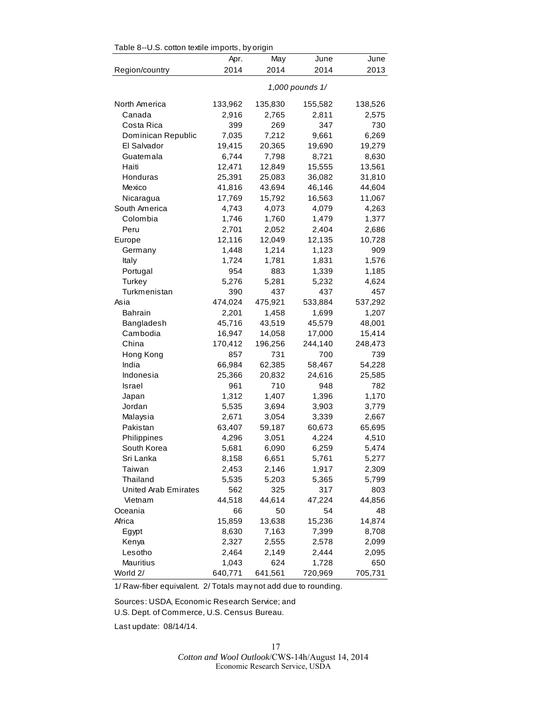| rable 8--0.5. collon lexille imports, by origin |                 |         |         |         |  |  |
|-------------------------------------------------|-----------------|---------|---------|---------|--|--|
|                                                 | Apr.            | May     | June    | June    |  |  |
| Region/country                                  | 2014            | 2014    | 2014    | 2013    |  |  |
|                                                 | 1,000 pounds 1/ |         |         |         |  |  |
| North America                                   | 133,962         | 135,830 | 155,582 | 138,526 |  |  |
| Canada                                          | 2,916           | 2,765   | 2,811   | 2,575   |  |  |
| Costa Rica                                      | 399             | 269     | 347     | 730     |  |  |
| Dominican Republic                              | 7,035           | 7,212   | 9,661   | 6,269   |  |  |
| El Salvador                                     | 19,415          | 20,365  | 19,690  | 19,279  |  |  |
| Guatemala                                       | 6,744           | 7,798   | 8,721   | 8,630   |  |  |
| Haiti                                           | 12,471          | 12,849  | 15,555  | 13,561  |  |  |
| Honduras                                        | 25,391          | 25,083  | 36,082  | 31,810  |  |  |
| Mexico                                          | 41,816          | 43,694  | 46,146  | 44,604  |  |  |
| Nicaragua                                       | 17,769          | 15,792  | 16,563  | 11,067  |  |  |
| South America                                   | 4,743           | 4,073   | 4,079   | 4,263   |  |  |
| Colombia                                        | 1,746           | 1,760   | 1,479   | 1,377   |  |  |
| Peru                                            | 2,701           | 2,052   | 2,404   | 2,686   |  |  |
| Europe                                          | 12,116          | 12,049  | 12,135  | 10,728  |  |  |
| Germany                                         | 1,448           | 1,214   | 1,123   | 909     |  |  |
| Italy                                           | 1,724           | 1,781   | 1,831   | 1,576   |  |  |
| Portugal                                        | 954             | 883     | 1,339   | 1,185   |  |  |
| Turkey                                          | 5,276           | 5,281   | 5,232   | 4,624   |  |  |
| Turkmenistan                                    | 390             | 437     | 437     | 457     |  |  |
| Asia                                            | 474,024         | 475,921 | 533,884 | 537,292 |  |  |
| Bahrain                                         | 2,201           | 1,458   | 1,699   | 1,207   |  |  |
| Bangladesh                                      | 45,716          | 43,519  | 45,579  | 48,001  |  |  |
| Cambodia                                        | 16,947          | 14,058  | 17,000  | 15,414  |  |  |
| China                                           | 170,412         | 196,256 | 244,140 | 248,473 |  |  |
| Hong Kong                                       | 857             | 731     | 700     | 739     |  |  |
| India                                           | 66,984          | 62,385  | 58,467  | 54,228  |  |  |
| Indonesia                                       | 25,366          | 20,832  | 24,616  | 25,585  |  |  |
| Israel                                          | 961             | 710     | 948     | 782     |  |  |
| Japan                                           | 1,312           | 1,407   | 1,396   | 1,170   |  |  |
| Jordan                                          | 5,535           | 3,694   | 3,903   | 3,779   |  |  |
| Malaysia                                        | 2,671           | 3,054   | 3,339   | 2,667   |  |  |
| Pakistan                                        | 63,407          | 59,187  | 60,673  | 65,695  |  |  |
| Philippines                                     | 4,296           | 3,051   | 4,224   | 4,510   |  |  |
| South Korea                                     | 5,681           | 6,090   | 6,259   | 5,474   |  |  |
| Sri Lanka                                       | 8,158           | 6,651   | 5,761   | 5,277   |  |  |
| Taiwan                                          | 2,453           | 2,146   | 1,917   | 2,309   |  |  |
| Thailand                                        | 5,535           | 5,203   | 5,365   | 5,799   |  |  |
| <b>United Arab Emirates</b>                     | 562             | 325     | 317     | 803     |  |  |
| Vietnam                                         | 44,518          | 44,614  | 47,224  | 44,856  |  |  |
| Oceania                                         | 66              | 50      | 54      | 48      |  |  |
| Africa                                          | 15,859          | 13,638  | 15,236  | 14,874  |  |  |
| Egypt                                           | 8,630           | 7,163   | 7,399   | 8,708   |  |  |
| Kenya                                           | 2,327           | 2,555   | 2,578   | 2,099   |  |  |
| Lesotho                                         | 2,464           | 2,149   | 2,444   | 2,095   |  |  |
| Mauritius                                       | 1,043           | 624     | 1,728   | 650     |  |  |
| World 2/                                        | 640,771         | 641,561 | 720,969 | 705,731 |  |  |

Table 8, U.S. cotton textile imports, by origin

1/ Raw-fiber equivalent. 2/ Totals may not add due to rounding.

Sources: USDA, Economic Research Service; and U.S. Dept. of Commerce, U.S. Census Bureau.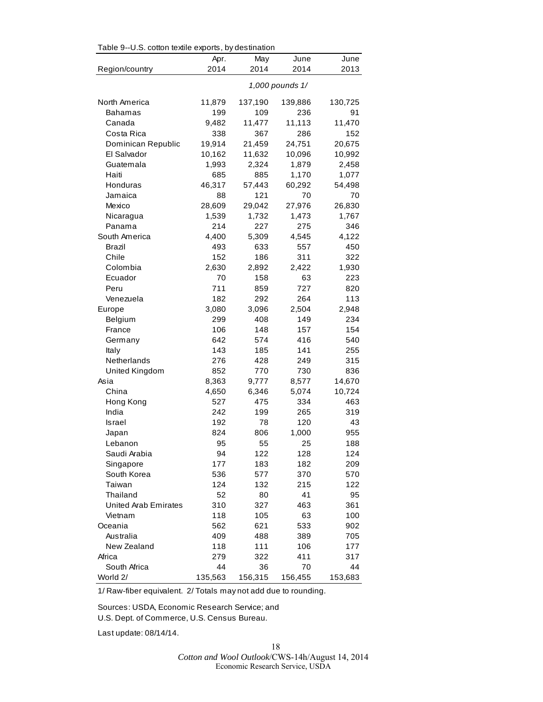| Table 9--U.S. cotton textile exports, by destination |                 |         |         |         |  |
|------------------------------------------------------|-----------------|---------|---------|---------|--|
|                                                      | Apr.            | May     | June    | June    |  |
| Region/country                                       | 2014            | 2014    | 2014    | 2013    |  |
|                                                      | 1,000 pounds 1/ |         |         |         |  |
| North America                                        | 11,879          | 137,190 | 139,886 | 130,725 |  |
| Bahamas                                              | 199             | 109     | 236     | 91      |  |
| Canada                                               | 9,482           | 11,477  | 11,113  | 11,470  |  |
| Costa Rica                                           | 338             | 367     | 286     | 152     |  |
| Dominican Republic                                   | 19,914          | 21,459  | 24,751  | 20,675  |  |
| El Salvador                                          | 10,162          | 11,632  | 10,096  | 10,992  |  |
| Guatemala                                            | 1,993           | 2,324   | 1,879   | 2,458   |  |
| Haiti                                                | 685             | 885     | 1,170   | 1,077   |  |
| Honduras                                             | 46,317          | 57,443  | 60,292  | 54,498  |  |
| Jamaica                                              | 88              | 121     | 70      | 70      |  |
| Mexico                                               | 28,609          | 29,042  | 27,976  | 26,830  |  |
| Nicaragua                                            | 1,539           | 1,732   | 1,473   | 1,767   |  |
| Panama                                               | 214             | 227     | 275     | 346     |  |
| South America                                        | 4,400           | 5,309   | 4,545   | 4,122   |  |
| Brazil                                               | 493             | 633     | 557     | 450     |  |
| Chile                                                | 152             | 186     | 311     | 322     |  |
| Colombia                                             | 2,630           | 2,892   | 2,422   | 1,930   |  |
| Ecuador                                              | 70              | 158     | 63      | 223     |  |
| Peru                                                 | 711             | 859     | 727     | 820     |  |
| Venezuela                                            | 182             | 292     | 264     | 113     |  |
| Europe                                               | 3,080           | 3,096   | 2,504   | 2,948   |  |
| Belgium                                              | 299             | 408     | 149     | 234     |  |
| France                                               | 106             | 148     | 157     | 154     |  |
| Germany                                              | 642             | 574     | 416     | 540     |  |
| Italy                                                | 143             | 185     | 141     | 255     |  |
| Netherlands                                          | 276             | 428     | 249     | 315     |  |
| United Kingdom                                       | 852             | 770     | 730     | 836     |  |
| Asia                                                 | 8,363           | 9,777   | 8,577   | 14,670  |  |
| China                                                | 4,650           | 6,346   | 5,074   | 10,724  |  |
| Hong Kong                                            | 527             | 475     | 334     | 463     |  |
| India                                                | 242             | 199     | 265     | 319     |  |
| Israel                                               | 192             | 78      | 120     | 43      |  |
| Japan                                                | 824             | 806     | 1,000   | 955     |  |
| Lebanon                                              | 95              | 55      | 25      | 188     |  |
| Saudi Arabia                                         | 94              | 122     | 128     | 124     |  |
| Singapore                                            | 177             | 183     | 182     | 209     |  |
| South Korea                                          | 536             | 577     | 370     | 570     |  |
| Taiwan                                               | 124             | 132     | 215     | 122     |  |
| Thailand                                             | 52              | 80      | 41      | 95      |  |
| <b>United Arab Emirates</b>                          | 310             | 327     | 463     | 361     |  |
| Vietnam                                              | 118             | 105     | 63      | 100     |  |
| Oceania                                              | 562             | 621     | 533     | 902     |  |
| Australia                                            | 409             | 488     | 389     | 705     |  |
| New Zealand                                          | 118             | 111     | 106     | 177     |  |
| Africa                                               | 279             | 322     | 411     | 317     |  |
| South Africa                                         | 44              | 36      | 70      | 44      |  |
| World 2/                                             | 135,563         | 156,315 | 156,455 | 153,683 |  |

1/ Raw-fiber equivalent. 2/ Totals may not add due to rounding.

Sources: USDA, Economic Research Service; and

U.S. Dept. of Commerce, U.S. Census Bureau.